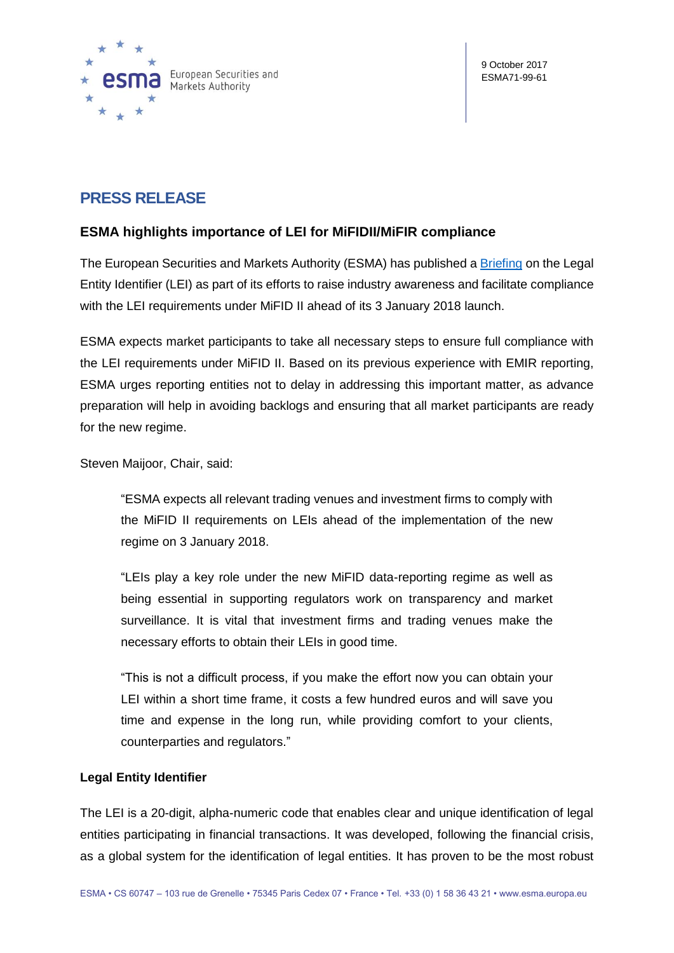

# **PRESS RELEASE**

# **ESMA highlights importance of LEI for MiFIDII/MiFIR compliance**

The European Securities and Markets Authority (ESMA) has published a [Briefing](https://www.esma.europa.eu/sites/default/files/library/esma70-145-238_lei_briefing_note.pdf) on the Legal Entity Identifier (LEI) as part of its efforts to raise industry awareness and facilitate compliance with the LEI requirements under MiFID II ahead of its 3 January 2018 launch.

ESMA expects market participants to take all necessary steps to ensure full compliance with the LEI requirements under MiFID II. Based on its previous experience with EMIR reporting, ESMA urges reporting entities not to delay in addressing this important matter, as advance preparation will help in avoiding backlogs and ensuring that all market participants are ready for the new regime.

Steven Maijoor, Chair, said:

"ESMA expects all relevant trading venues and investment firms to comply with the MiFID II requirements on LEIs ahead of the implementation of the new regime on 3 January 2018.

"LEIs play a key role under the new MiFID data-reporting regime as well as being essential in supporting regulators work on transparency and market surveillance. It is vital that investment firms and trading venues make the necessary efforts to obtain their LEIs in good time.

"This is not a difficult process, if you make the effort now you can obtain your LEI within a short time frame, it costs a few hundred euros and will save you time and expense in the long run, while providing comfort to your clients, counterparties and regulators."

## **Legal Entity Identifier**

The LEI is a 20-digit, alpha-numeric code that enables clear and unique identification of legal entities participating in financial transactions. It was developed, following the financial crisis, as a global system for the identification of legal entities. It has proven to be the most robust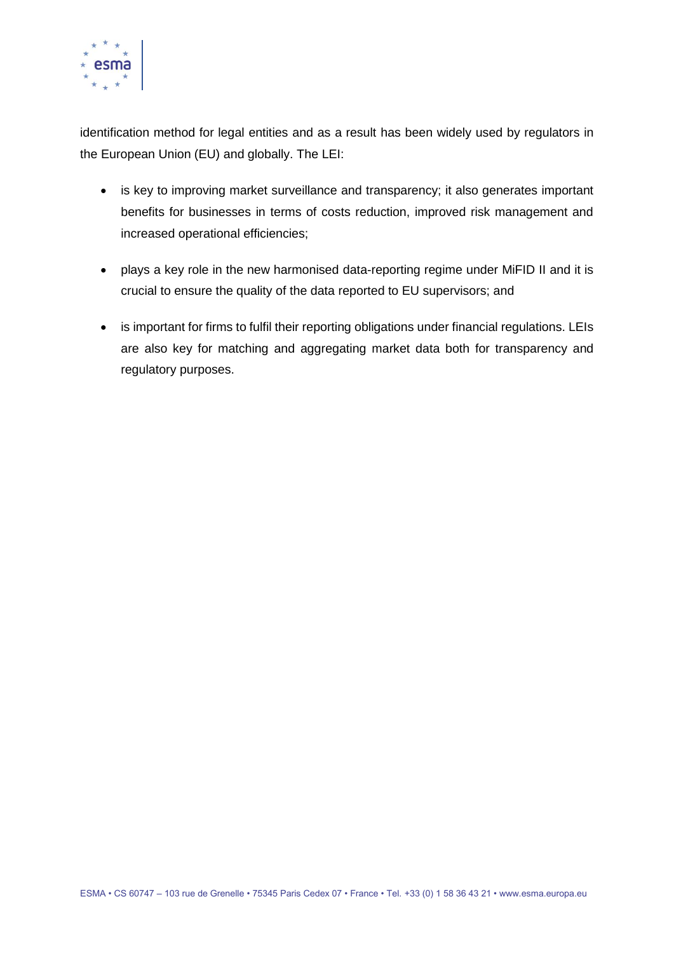

identification method for legal entities and as a result has been widely used by regulators in the European Union (EU) and globally. The LEI:

- is key to improving market surveillance and transparency; it also generates important benefits for businesses in terms of costs reduction, improved risk management and increased operational efficiencies;
- plays a key role in the new harmonised data-reporting regime under MiFID II and it is crucial to ensure the quality of the data reported to EU supervisors; and
- is important for firms to fulfil their reporting obligations under financial regulations. LEIs are also key for matching and aggregating market data both for transparency and regulatory purposes.